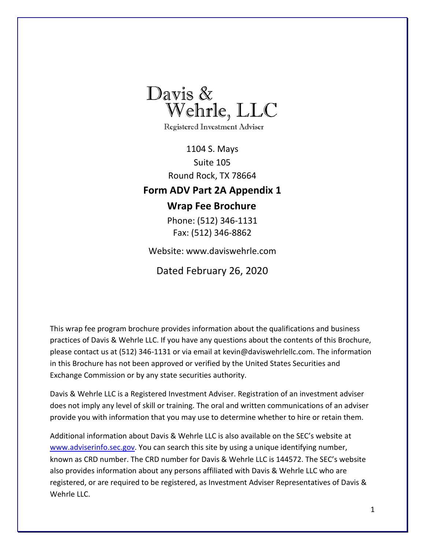

**Registered Investment Adviser** 

<span id="page-0-0"></span>1104 S. Mays Suite 105 Round Rock, TX 78664 **Form ADV Part 2A Appendix 1 Wrap Fee Brochure** 

> Phone: (512) 346-1131 Fax: (512) 346-8862

Website: [www.daviswehrle.com](http://www.daviswehrle.com/)

Dated February 26, 2020

This wrap fee program brochure provides information about the qualifications and business practices of Davis & Wehrle LLC. If you have any questions about the contents of this Brochure, please contact us at (512) 346-1131 or via email a[t kevin@daviswehrlellc.com. T](mailto:kevin@daviswehrlellc.com)he information in this Brochure has not been approved or verified by the United States Securities and Exchange Commission or by any state securities authority.

Davis & Wehrle LLC is a Registered Investment Adviser. Registration of an investment adviser does not imply any level of skill or training. The oral and written communications of an adviser provide you with information that you may use to determine whether to hire or retain them.

Additional information about Davis & Wehrle LLC is also available on the SEC's website [at](http://www.adviserinfo.sec.gov/) [www.adviserinfo.sec.g](http://www.adviserinfo.sec.gov/)ov. You can search this site by using a unique identifying number, known as CRD number. The CRD number for Davis & Wehrle LLC is 144572. The SEC's website also provides information about any persons affiliated with Davis & Wehrle LLC who are registered, or are required to be registered, as Investment Adviser Representatives of Davis & Wehrle LLC.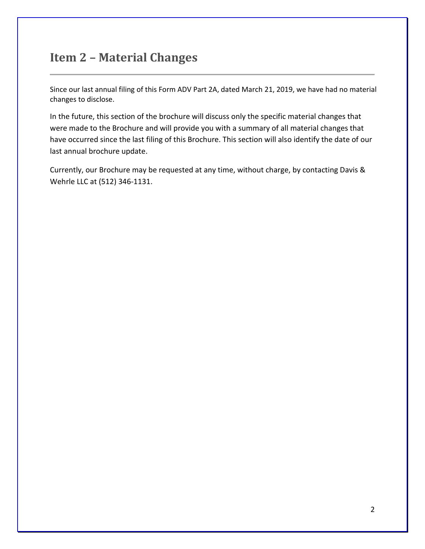# <span id="page-1-0"></span>**Item 2 – Material Changes**

Since our last annual filing of this Form ADV Part 2A, dated March 21, 2019, we have had no material changes to disclose.

In the future, this section of the brochure will discuss only the specific material changes that were made to the Brochure and will provide you with a summary of all material changes that have occurred since the last filing of this Brochure. This section will also identify the date of our last annual brochure update.

Currently, our Brochure may be requested at any time, without charge, by contacting Davis & Wehrle LLC at (512) 346-1131.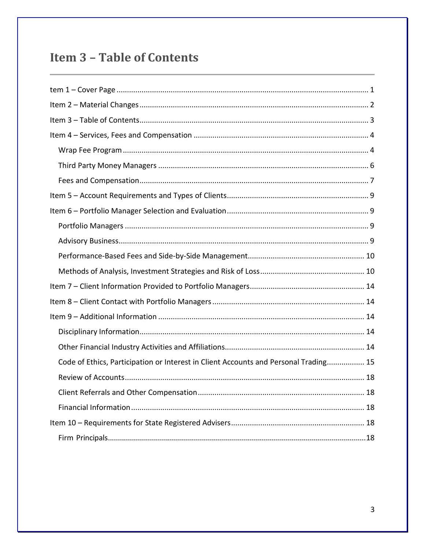# <span id="page-2-0"></span>**Item 3 - Table of Contents**

| Code of Ethics, Participation or Interest in Client Accounts and Personal Trading 15 |
|--------------------------------------------------------------------------------------|
|                                                                                      |
|                                                                                      |
|                                                                                      |
|                                                                                      |
|                                                                                      |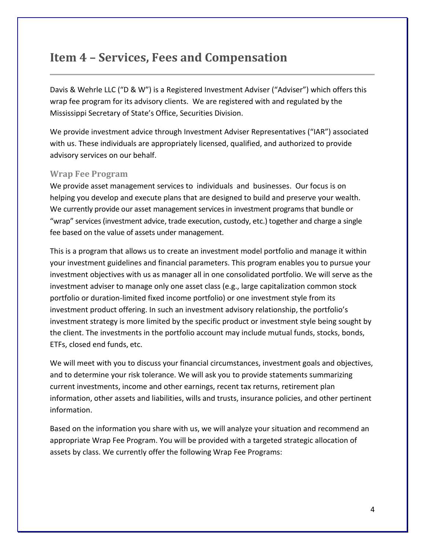# <span id="page-3-0"></span>**Item 4 – Services, Fees and Compensation**

Davis & Wehrle LLC ("D & W") is a Registered Investment Adviser ("Adviser") which offers this wrap fee program for its advisory clients. We are registered with and regulated by the Mississippi Secretary of State's Office, Securities Division.

We provide investment advice through Investment Adviser Representatives ("IAR") associated with us. These individuals are appropriately licensed, qualified, and authorized to provide advisory services on our behalf.

### <span id="page-3-1"></span>**Wrap Fee Program**

We provide asset management services to individuals and businesses. Our focus is on helping you develop and execute plans that are designed to build and preserve your wealth. We currently provide our asset management services in investment programs that bundle or "wrap" services (investment advice, trade execution, custody, etc.) together and charge a single fee based on the value of assets under management.

This is a program that allows us to create an investment model portfolio and manage it within your investment guidelines and financial parameters. This program enables you to pursue your investment objectives with us as manager all in one consolidated portfolio. We will serve as the investment adviser to manage only one asset class (e.g., large capitalization common stock portfolio or duration-limited fixed income portfolio) or one investment style from its investment product offering. In such an investment advisory relationship, the portfolio's investment strategy is more limited by the specific product or investment style being sought by the client. The investments in the portfolio account may include mutual funds, stocks, bonds, ETFs, closed end funds, etc.

We will meet with you to discuss your financial circumstances, investment goals and objectives, and to determine your risk tolerance. We will ask you to provide statements summarizing current investments, income and other earnings, recent tax returns, retirement plan information, other assets and liabilities, wills and trusts, insurance policies, and other pertinent information.

Based on the information you share with us, we will analyze your situation and recommend an appropriate Wrap Fee Program. You will be provided with a targeted strategic allocation of assets by class. We currently offer the following Wrap Fee Programs: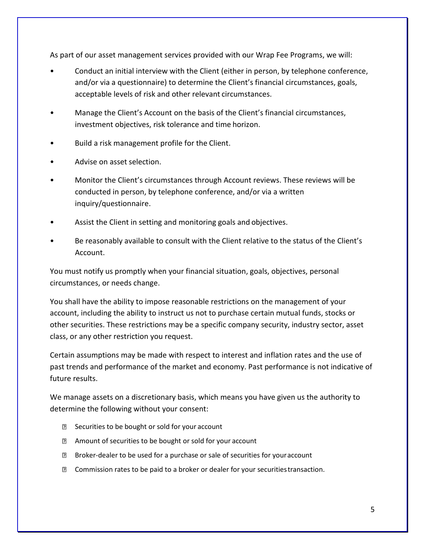As part of our asset management services provided with our Wrap Fee Programs, we will:

- Conduct an initial interview with the Client (either in person, by telephone conference, and/or via a questionnaire) to determine the Client's financial circumstances, goals, acceptable levels of risk and other relevant circumstances.
- Manage the Client's Account on the basis of the Client's financial circumstances, investment objectives, risk tolerance and time horizon.
- Build a risk management profile for the Client.
- Advise on asset selection.
- Monitor the Client's circumstances through Account reviews. These reviews will be conducted in person, by telephone conference, and/or via a written inquiry/questionnaire.
- Assist the Client in setting and monitoring goals and objectives.
- Be reasonably available to consult with the Client relative to the status of the Client's Account.

You must notify us promptly when your financial situation, goals, objectives, personal circumstances, or needs change.

You shall have the ability to impose reasonable restrictions on the management of your account, including the ability to instruct us not to purchase certain mutual funds, stocks or other securities. These restrictions may be a specific company security, industry sector, asset class, or any other restriction you request.

Certain assumptions may be made with respect to interest and inflation rates and the use of past trends and performance of the market and economy. Past performance is not indicative of future results.

We manage assets on a discretionary basis, which means you have given us the authority to determine the following without your consent:

- **B** Securities to be bought or sold for your account
- Amount of securities to be bought or sold for your account
- Broker-dealer to be used for a purchase or sale of securities for youraccount
- Commission rates to be paid to a broker or dealer for your securitiestransaction.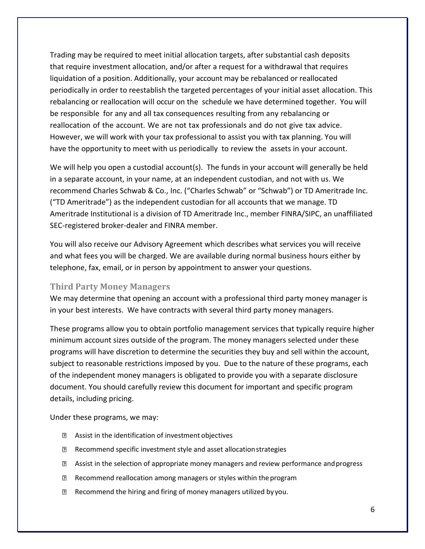Trading may be required to meet initial allocation targets, after substantial cash deposits that require investment allocation, and/or after a request for a withdrawal that requires liquidation of a position. Additionally, your account may be rebalanced or reallocated periodically in order to reestablish the targeted percentages of your initial asset allocation. This rebalancing or reallocation will occur on the schedule we have determined together. You will be responsible for any and all tax consequences resulting from any rebalancing or reallocation of the account. We are not tax professionals and do not give tax advice. However, we will work with your tax professional to assist you with tax planning. You will have the opportunity to meet with us periodically to review the assets in your account.

We will help you open a custodial account(s). The funds in your account will generally be held in a separate account, in your name, at an independent custodian, and not with us. We recommend Charles Schwab & Co., Inc. ("Charles Schwab" or "Schwab") or TD Ameritrade Inc. ("TD Ameritrade") as the independent custodian for all accounts that we manage. TD Ameritrade Institutional is a division of TD Ameritrade Inc., member FINRA/SIPC, an unaffiliated SEC-registered broker-dealer and FINRA member.

You will also receive our Advisory Agreement which describes what services you will receive and what fees you will be charged. We are available during normal business hours either by telephone, fax, email, or in person by appointment to answer your questions.

### <span id="page-5-0"></span>**Third Party Money Managers**

We may determine that opening an account with a professional third party money manager is in your best interests. We have contracts with several third party money managers.

These programs allow you to obtain portfolio management services that typically require higher minimum account sizes outside of the program. The money managers selected under these programs will have discretion to determine the securities they buy and sell within the account, subject to reasonable restrictions imposed by you. Due to the nature of these programs, each of the independent money managers is obligated to provide you with a separate disclosure document. You should carefully review this document for important and specific program details, including pricing.

Under these programs, we may:

- **2** Assist in the identification of investment objectives
- **Recommend specific investment style and asset allocation strategies**
- Assist in the selection of appropriate money managers and review performance andprogress
- **Recommend reallocation among managers or styles within the program**
- **Recommend the hiring and firing of money managers utilized by you.**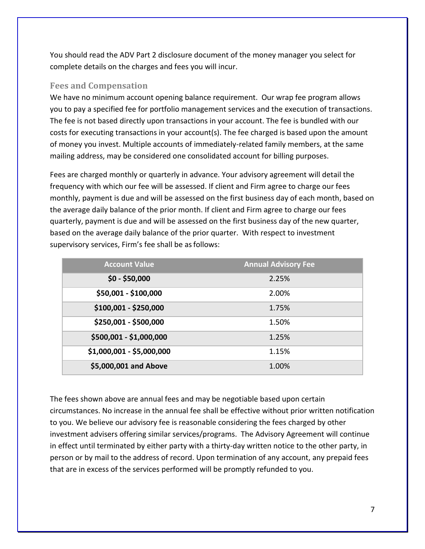You should read the ADV Part 2 disclosure document of the money manager you select for complete details on the charges and fees you will incur.

### <span id="page-6-0"></span>**Fees and Compensation**

We have no minimum account opening balance requirement. Our wrap fee program allows you to pay a specified fee for portfolio management services and the execution of transactions. The fee is not based directly upon transactions in your account. The fee is bundled with our costs for executing transactions in your account(s). The fee charged is based upon the amount of money you invest. Multiple accounts of immediately-related family members, at the same mailing address, may be considered one consolidated account for billing purposes.

Fees are charged monthly or quarterly in advance. Your advisory agreement will detail the frequency with which our fee will be assessed. If client and Firm agree to charge our fees monthly, payment is due and will be assessed on the first business day of each month, based on the average daily balance of the prior month. If client and Firm agree to charge our fees quarterly, payment is due and will be assessed on the first business day of the new quarter, based on the average daily balance of the prior quarter. With respect to investment supervisory services, Firm's fee shall be asfollows:

| <b>Account Value</b>      | <b>Annual Advisory Fee</b> |
|---------------------------|----------------------------|
| $$0 - $50,000$            | 2.25%                      |
| \$50,001 - \$100,000      | 2.00%                      |
| \$100,001 - \$250,000     | 1.75%                      |
| \$250,001 - \$500,000     | 1.50%                      |
| \$500,001 - \$1,000,000   | 1.25%                      |
| \$1,000,001 - \$5,000,000 | 1.15%                      |
| \$5,000,001 and Above     | 1.00%                      |

The fees shown above are annual fees and may be negotiable based upon certain circumstances. No increase in the annual fee shall be effective without prior written notification to you. We believe our advisory fee is reasonable considering the fees charged by other investment advisers offering similar services/programs. The Advisory Agreement will continue in effect until terminated by either party with a thirty-day written notice to the other party, in person or by mail to the address of record. Upon termination of any account, any prepaid fees that are in excess of the services performed will be promptly refunded to you.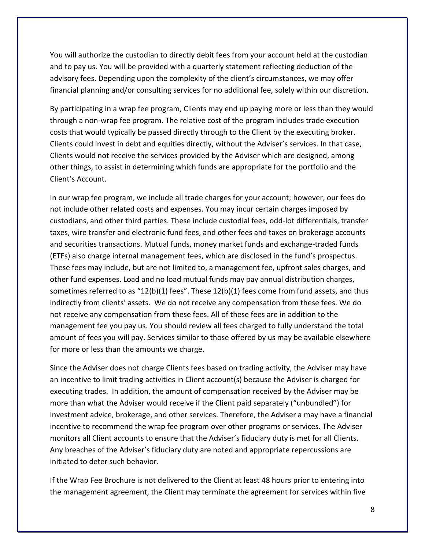You will authorize the custodian to directly debit fees from your account held at the custodian and to pay us. You will be provided with a quarterly statement reflecting deduction of the advisory fees. Depending upon the complexity of the client's circumstances, we may offer financial planning and/or consulting services for no additional fee, solely within our discretion.

By participating in a wrap fee program, Clients may end up paying more or less than they would through a non-wrap fee program. The relative cost of the program includes trade execution costs that would typically be passed directly through to the Client by the executing broker. Clients could invest in debt and equities directly, without the Adviser's services. In that case, Clients would not receive the services provided by the Adviser which are designed, among other things, to assist in determining which funds are appropriate for the portfolio and the Client's Account.

In our wrap fee program, we include all trade charges for your account; however, our fees do not include other related costs and expenses. You may incur certain charges imposed by custodians, and other third parties. These include custodial fees, odd-lot differentials, transfer taxes, wire transfer and electronic fund fees, and other fees and taxes on brokerage accounts and securities transactions. Mutual funds, money market funds and exchange-traded funds (ETFs) also charge internal management fees, which are disclosed in the fund's prospectus. These fees may include, but are not limited to, a management fee, upfront sales charges, and other fund expenses. Load and no load mutual funds may pay annual distribution charges, sometimes referred to as "12(b)(1) fees". These 12(b)(1) fees come from fund assets, and thus indirectly from clients' assets. We do not receive any compensation from these fees. We do not receive any compensation from these fees. All of these fees are in addition to the management fee you pay us. You should review all fees charged to fully understand the total amount of fees you will pay. Services similar to those offered by us may be available elsewhere for more or less than the amounts we charge.

Since the Adviser does not charge Clients fees based on trading activity, the Adviser may have an incentive to limit trading activities in Client account(s) because the Adviser is charged for executing trades. In addition, the amount of compensation received by the Adviser may be more than what the Adviser would receive if the Client paid separately ("unbundled") for investment advice, brokerage, and other services. Therefore, the Adviser a may have a financial incentive to recommend the wrap fee program over other programs or services. The Adviser monitors all Client accounts to ensure that the Adviser's fiduciary duty is met for all Clients. Any breaches of the Adviser's fiduciary duty are noted and appropriate repercussions are initiated to deter such behavior.

If the Wrap Fee Brochure is not delivered to the Client at least 48 hours prior to entering into the management agreement, the Client may terminate the agreement for services within five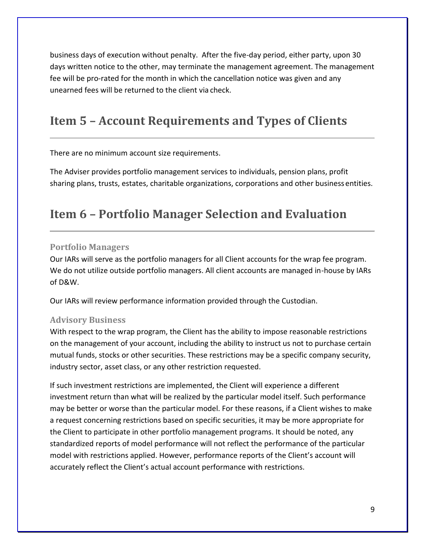business days of execution without penalty. After the five-day period, either party, upon 30 days written notice to the other, may terminate the management agreement. The management fee will be pro-rated for the month in which the cancellation notice was given and any unearned fees will be returned to the client via check.

# <span id="page-8-0"></span>**Item 5 – Account Requirements and Types of Clients**

There are no minimum account size requirements.

The Adviser provides portfolio management services to individuals, pension plans, profit sharing plans, trusts, estates, charitable organizations, corporations and other business entities.

# <span id="page-8-1"></span>**Item 6 – Portfolio Manager Selection and Evaluation**

### <span id="page-8-2"></span>**Portfolio Managers**

Our IARs will serve as the portfolio managers for all Client accounts for the wrap fee program. We do not utilize outside portfolio managers. All client accounts are managed in-house by IARs of D&W.

Our IARs will review performance information provided through the Custodian.

### <span id="page-8-3"></span>**Advisory Business**

With respect to the wrap program, the Client has the ability to impose reasonable restrictions on the management of your account, including the ability to instruct us not to purchase certain mutual funds, stocks or other securities. These restrictions may be a specific company security, industry sector, asset class, or any other restriction requested.

If such investment restrictions are implemented, the Client will experience a different investment return than what will be realized by the particular model itself. Such performance may be better or worse than the particular model. For these reasons, if a Client wishes to make a request concerning restrictions based on specific securities, it may be more appropriate for the Client to participate in other portfolio management programs. It should be noted, any standardized reports of model performance will not reflect the performance of the particular model with restrictions applied. However, performance reports of the Client's account will accurately reflect the Client's actual account performance with restrictions.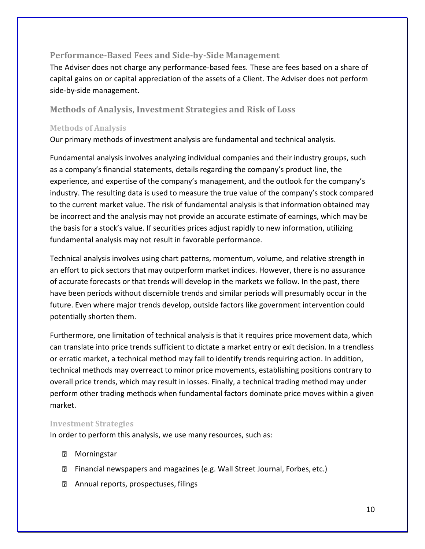### <span id="page-9-0"></span>**Performance-Based Fees and Side-by-Side Management**

The Adviser does not charge any performance-based fees. These are fees based on a share of capital gains on or capital appreciation of the assets of a Client. The Adviser does not perform side-by-side management.

### <span id="page-9-1"></span>**Methods of Analysis, Investment Strategies and Risk of Loss**

#### **Methods of Analysis**

Our primary methods of investment analysis are fundamental and technical analysis.

Fundamental analysis involves analyzing individual companies and their industry groups, such as a company's financial statements, details regarding the company's product line, the experience, and expertise of the company's management, and the outlook for the company's industry. The resulting data is used to measure the true value of the company's stock compared to the current market value. The risk of fundamental analysis is that information obtained may be incorrect and the analysis may not provide an accurate estimate of earnings, which may be the basis for a stock's value. If securities prices adjust rapidly to new information, utilizing fundamental analysis may not result in favorable performance.

Technical analysis involves using chart patterns, momentum, volume, and relative strength in an effort to pick sectors that may outperform market indices. However, there is no assurance of accurate forecasts or that trends will develop in the markets we follow. In the past, there have been periods without discernible trends and similar periods will presumably occur in the future. Even where major trends develop, outside factors like government intervention could potentially shorten them.

Furthermore, one limitation of technical analysis is that it requires price movement data, which can translate into price trends sufficient to dictate a market entry or exit decision. In a trendless or erratic market, a technical method may fail to identify trends requiring action. In addition, technical methods may overreact to minor price movements, establishing positions contrary to overall price trends, which may result in losses. Finally, a technical trading method may under perform other trading methods when fundamental factors dominate price moves within a given market.

### **Investment Strategies**

In order to perform this analysis, we use many resources, such as:

- **2** Morningstar
- **E** Financial newspapers and magazines (e.g. Wall Street Journal, Forbes, etc.)
- **Z** Annual reports, prospectuses, filings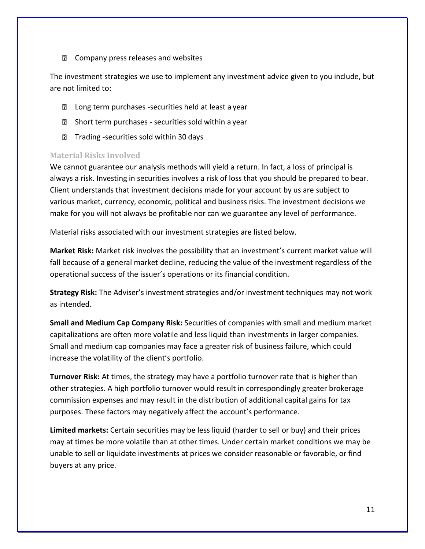**E** Company press releases and websites

The investment strategies we use to implement any investment advice given to you include, but are not limited to:

- **D** Long term purchases -securities held at least a year
- **EXECUTE:** Short term purchases securities sold within a year
- **Trading -securities sold within 30 days**

### **Material Risks Involved**

We cannot guarantee our analysis methods will yield a return. In fact, a loss of principal is always a risk. Investing in securities involves a risk of loss that you should be prepared to bear. Client understands that investment decisions made for your account by us are subject to various market, currency, economic, political and business risks. The investment decisions we make for you will not always be profitable nor can we guarantee any level of performance.

Material risks associated with our investment strategies are listed below.

**Market Risk:** Market risk involves the possibility that an investment's current market value will fall because of a general market decline, reducing the value of the investment regardless of the operational success of the issuer's operations or its financial condition.

**Strategy Risk:** The Adviser's investment strategies and/or investment techniques may not work as intended.

**Small and Medium Cap Company Risk:** Securities of companies with small and medium market capitalizations are often more volatile and less liquid than investments in larger companies. Small and medium cap companies may face a greater risk of business failure, which could increase the volatility of the client's portfolio.

**Turnover Risk:** At times, the strategy may have a portfolio turnover rate that is higher than other strategies. A high portfolio turnover would result in correspondingly greater brokerage commission expenses and may result in the distribution of additional capital gains for tax purposes. These factors may negatively affect the account's performance.

**Limited markets:** Certain securities may be less liquid (harder to sell or buy) and their prices may at times be more volatile than at other times. Under certain market conditions we may be unable to sell or liquidate investments at prices we consider reasonable or favorable, or find buyers at any price.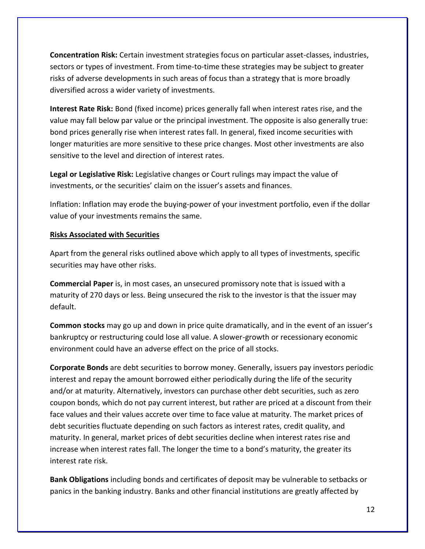**Concentration Risk:** Certain investment strategies focus on particular asset-classes, industries, sectors or types of investment. From time-to-time these strategies may be subject to greater risks of adverse developments in such areas of focus than a strategy that is more broadly diversified across a wider variety of investments.

**Interest Rate Risk:** Bond (fixed income) prices generally fall when interest rates rise, and the value may fall below par value or the principal investment. The opposite is also generally true: bond prices generally rise when interest rates fall. In general, fixed income securities with longer maturities are more sensitive to these price changes. Most other investments are also sensitive to the level and direction of interest rates.

**Legal or Legislative Risk:** Legislative changes or Court rulings may impact the value of investments, or the securities' claim on the issuer's assets and finances.

Inflation: Inflation may erode the buying-power of your investment portfolio, even if the dollar value of your investments remains the same.

### **Risks Associated with Securities**

Apart from the general risks outlined above which apply to all types of investments, specific securities may have other risks.

**Commercial Paper** is, in most cases, an unsecured promissory note that is issued with a maturity of 270 days or less. Being unsecured the risk to the investor is that the issuer may default.

**Common stocks** may go up and down in price quite dramatically, and in the event of an issuer's bankruptcy or restructuring could lose all value. A slower-growth or recessionary economic environment could have an adverse effect on the price of all stocks.

**Corporate Bonds** are debt securities to borrow money. Generally, issuers pay investors periodic interest and repay the amount borrowed either periodically during the life of the security and/or at maturity. Alternatively, investors can purchase other debt securities, such as zero coupon bonds, which do not pay current interest, but rather are priced at a discount from their face values and their values accrete over time to face value at maturity. The market prices of debt securities fluctuate depending on such factors as interest rates, credit quality, and maturity. In general, market prices of debt securities decline when interest rates rise and increase when interest rates fall. The longer the time to a bond's maturity, the greater its interest rate risk.

**Bank Obligations** including bonds and certificates of deposit may be vulnerable to setbacks or panics in the banking industry. Banks and other financial institutions are greatly affected by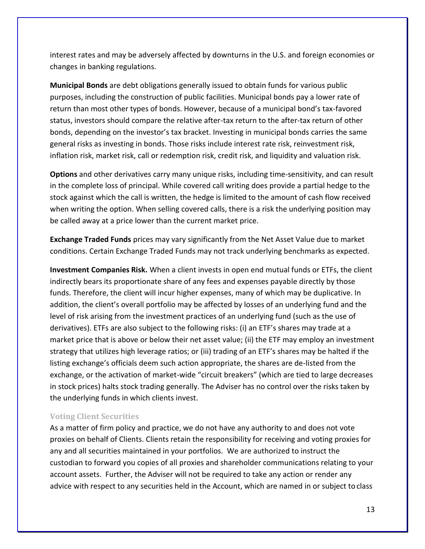interest rates and may be adversely affected by downturns in the U.S. and foreign economies or changes in banking regulations.

**Municipal Bonds** are debt obligations generally issued to obtain funds for various public purposes, including the construction of public facilities. Municipal bonds pay a lower rate of return than most other types of bonds. However, because of a municipal bond's tax-favored status, investors should compare the relative after-tax return to the after-tax return of other bonds, depending on the investor's tax bracket. Investing in municipal bonds carries the same general risks as investing in bonds. Those risks include interest rate risk, reinvestment risk, inflation risk, market risk, call or redemption risk, credit risk, and liquidity and valuation risk.

**Options** and other derivatives carry many unique risks, including time-sensitivity, and can result in the complete loss of principal. While covered call writing does provide a partial hedge to the stock against which the call is written, the hedge is limited to the amount of cash flow received when writing the option. When selling covered calls, there is a risk the underlying position may be called away at a price lower than the current market price.

**Exchange Traded Funds** prices may vary significantly from the Net Asset Value due to market conditions. Certain Exchange Traded Funds may not track underlying benchmarks as expected.

**Investment Companies Risk.** When a client invests in open end mutual funds or ETFs, the client indirectly bears its proportionate share of any fees and expenses payable directly by those funds. Therefore, the client will incur higher expenses, many of which may be duplicative. In addition, the client's overall portfolio may be affected by losses of an underlying fund and the level of risk arising from the investment practices of an underlying fund (such as the use of derivatives). ETFs are also subject to the following risks: (i) an ETF's shares may trade at a market price that is above or below their net asset value; (ii) the ETF may employ an investment strategy that utilizes high leverage ratios; or (iii) trading of an ETF's shares may be halted if the listing exchange's officials deem such action appropriate, the shares are de-listed from the exchange, or the activation of market-wide "circuit breakers" (which are tied to large decreases in stock prices) halts stock trading generally. The Adviser has no control over the risks taken by the underlying funds in which clients invest.

### **Voting Client Securities**

As a matter of firm policy and practice, we do not have any authority to and does not vote proxies on behalf of Clients. Clients retain the responsibility for receiving and voting proxies for any and all securities maintained in your portfolios. We are authorized to instruct the custodian to forward you copies of all proxies and shareholder communications relating to your account assets. Further, the Adviser will not be required to take any action or render any advice with respect to any securities held in the Account, which are named in or subject to class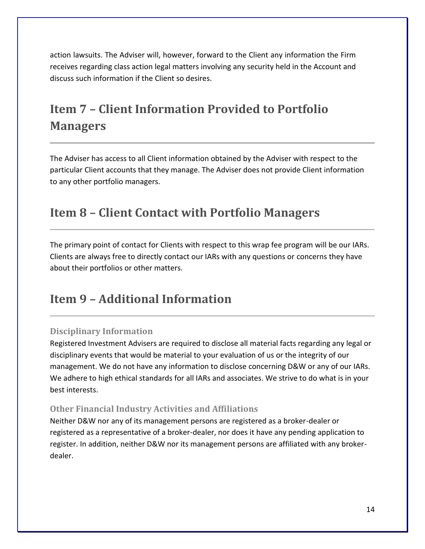action lawsuits. The Adviser will, however, forward to the Client any information the Firm receives regarding class action legal matters involving any security held in the Account and discuss such information if the Client so desires.

# <span id="page-13-0"></span>**Item 7 – Client Information Provided to Portfolio Managers**

The Adviser has access to all Client information obtained by the Adviser with respect to the particular Client accounts that they manage. The Adviser does not provide Client information to any other portfolio managers.

# <span id="page-13-1"></span>**Item 8 – Client Contact with Portfolio Managers**

The primary point of contact for Clients with respect to this wrap fee program will be our IARs. Clients are always free to directly contact our IARs with any questions or concerns they have about their portfolios or other matters.

# <span id="page-13-2"></span>**Item 9 – Additional Information**

### <span id="page-13-3"></span>**Disciplinary Information**

Registered Investment Advisers are required to disclose all material facts regarding any legal or disciplinary events that would be material to your evaluation of us or the integrity of our management. We do not have any information to disclose concerning D&W or any of our IARs. We adhere to high ethical standards for all IARs and associates. We strive to do what is in your best interests.

### <span id="page-13-4"></span>**Other Financial Industry Activities and Affiliations**

Neither D&W nor any of its management persons are registered as a broker-dealer or registered as a representative of a broker-dealer, nor does it have any pending application to register. In addition, neither D&W nor its management persons are affiliated with any brokerdealer.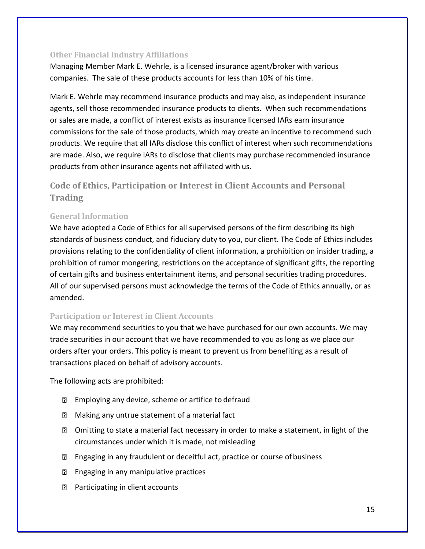### **Other Financial Industry Affiliations**

Managing Member Mark E. Wehrle, is a licensed insurance agent/broker with various companies. The sale of these products accounts for less than 10% of his time.

Mark E. Wehrle may recommend insurance products and may also, as independent insurance agents, sell those recommended insurance products to clients. When such recommendations or sales are made, a conflict of interest exists as insurance licensed IARs earn insurance commissions for the sale of those products, which may create an incentive to recommend such products. We require that all IARs disclose this conflict of interest when such recommendations are made. Also, we require IARs to disclose that clients may purchase recommended insurance products from other insurance agents not affiliated with us.

### <span id="page-14-0"></span>**Code of Ethics, Participation or Interest in Client Accounts and Personal Trading**

### **General Information**

We have adopted a Code of Ethics for all supervised persons of the firm describing its high standards of business conduct, and fiduciary duty to you, our client. The Code of Ethics includes provisions relating to the confidentiality of client information, a prohibition on insider trading, a prohibition of rumor mongering, restrictions on the acceptance of significant gifts, the reporting of certain gifts and business entertainment items, and personal securities trading procedures. All of our supervised persons must acknowledge the terms of the Code of Ethics annually, or as amended.

### **Participation or Interest in Client Accounts**

We may recommend securities to you that we have purchased for our own accounts. We may trade securities in our account that we have recommended to you as long as we place our orders after your orders. This policy is meant to prevent us from benefiting as a result of transactions placed on behalf of advisory accounts.

The following acts are prohibited:

- **Employing any device, scheme or artifice to defraud**
- **Making any untrue statement of a material fact**
- Omitting to state a material fact necessary in order to make a statement, in light of the circumstances under which it is made, not misleading
- **Engaging in any fraudulent or deceitful act, practice or course of business**
- **E** Engaging in any manipulative practices
- **Participating in client accounts**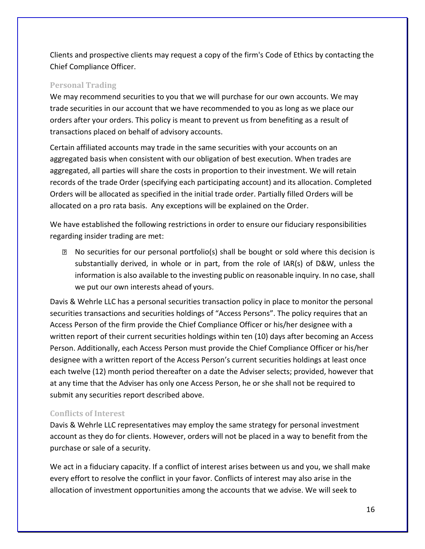Clients and prospective clients may request a copy of the firm's Code of Ethics by contacting the Chief Compliance Officer.

### **Personal Trading**

We may recommend securities to you that we will purchase for our own accounts. We may trade securities in our account that we have recommended to you as long as we place our orders after your orders. This policy is meant to prevent us from benefiting as a result of transactions placed on behalf of advisory accounts.

Certain affiliated accounts may trade in the same securities with your accounts on an aggregated basis when consistent with our obligation of best execution. When trades are aggregated, all parties will share the costs in proportion to their investment. We will retain records of the trade Order (specifying each participating account) and its allocation. Completed Orders will be allocated as specified in the initial trade order. Partially filled Orders will be allocated on a pro rata basis. Any exceptions will be explained on the Order.

We have established the following restrictions in order to ensure our fiduciary responsibilities regarding insider trading are met:

No securities for our personal portfolio(s) shall be bought or sold where this decision is substantially derived, in whole or in part, from the role of IAR(s) of D&W, unless the information is also available to the investing public on reasonable inquiry. In no case, shall we put our own interests ahead of yours.

Davis & Wehrle LLC has a personal securities transaction policy in place to monitor the personal securities transactions and securities holdings of "Access Persons". The policy requires that an Access Person of the firm provide the Chief Compliance Officer or his/her designee with a written report of their current securities holdings within ten (10) days after becoming an Access Person. Additionally, each Access Person must provide the Chief Compliance Officer or his/her designee with a written report of the Access Person's current securities holdings at least once each twelve (12) month period thereafter on a date the Adviser selects; provided, however that at any time that the Adviser has only one Access Person, he or she shall not be required to submit any securities report described above.

### **Conflicts of Interest**

Davis & Wehrle LLC representatives may employ the same strategy for personal investment account as they do for clients. However, orders will not be placed in a way to benefit from the purchase or sale of a security.

We act in a fiduciary capacity. If a conflict of interest arises between us and you, we shall make every effort to resolve the conflict in your favor. Conflicts of interest may also arise in the allocation of investment opportunities among the accounts that we advise. We will seek to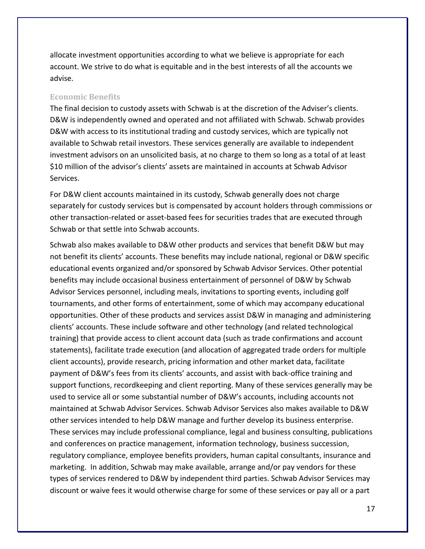allocate investment opportunities according to what we believe is appropriate for each account. We strive to do what is equitable and in the best interests of all the accounts we advise.

#### **Economic Benefits**

The final decision to custody assets with Schwab is at the discretion of the Adviser's clients. D&W is independently owned and operated and not affiliated with Schwab. Schwab provides D&W with access to its institutional trading and custody services, which are typically not available to Schwab retail investors. These services generally are available to independent investment advisors on an unsolicited basis, at no charge to them so long as a total of at least \$10 million of the advisor's clients' assets are maintained in accounts at Schwab Advisor Services.

For D&W client accounts maintained in its custody, Schwab generally does not charge separately for custody services but is compensated by account holders through commissions or other transaction-related or asset-based fees for securities trades that are executed through Schwab or that settle into Schwab accounts.

Schwab also makes available to D&W other products and services that benefit D&W but may not benefit its clients' accounts. These benefits may include national, regional or D&W specific educational events organized and/or sponsored by Schwab Advisor Services. Other potential benefits may include occasional business entertainment of personnel of D&W by Schwab Advisor Services personnel, including meals, invitations to sporting events, including golf tournaments, and other forms of entertainment, some of which may accompany educational opportunities. Other of these products and services assist D&W in managing and administering clients' accounts. These include software and other technology (and related technological training) that provide access to client account data (such as trade confirmations and account statements), facilitate trade execution (and allocation of aggregated trade orders for multiple client accounts), provide research, pricing information and other market data, facilitate payment of D&W's fees from its clients' accounts, and assist with back-office training and support functions, recordkeeping and client reporting. Many of these services generally may be used to service all or some substantial number of D&W's accounts, including accounts not maintained at Schwab Advisor Services. Schwab Advisor Services also makes available to D&W other services intended to help D&W manage and further develop its business enterprise. These services may include professional compliance, legal and business consulting, publications and conferences on practice management, information technology, business succession, regulatory compliance, employee benefits providers, human capital consultants, insurance and marketing. In addition, Schwab may make available, arrange and/or pay vendors for these types of services rendered to D&W by independent third parties. Schwab Advisor Services may discount or waive fees it would otherwise charge for some of these services or pay all or a part